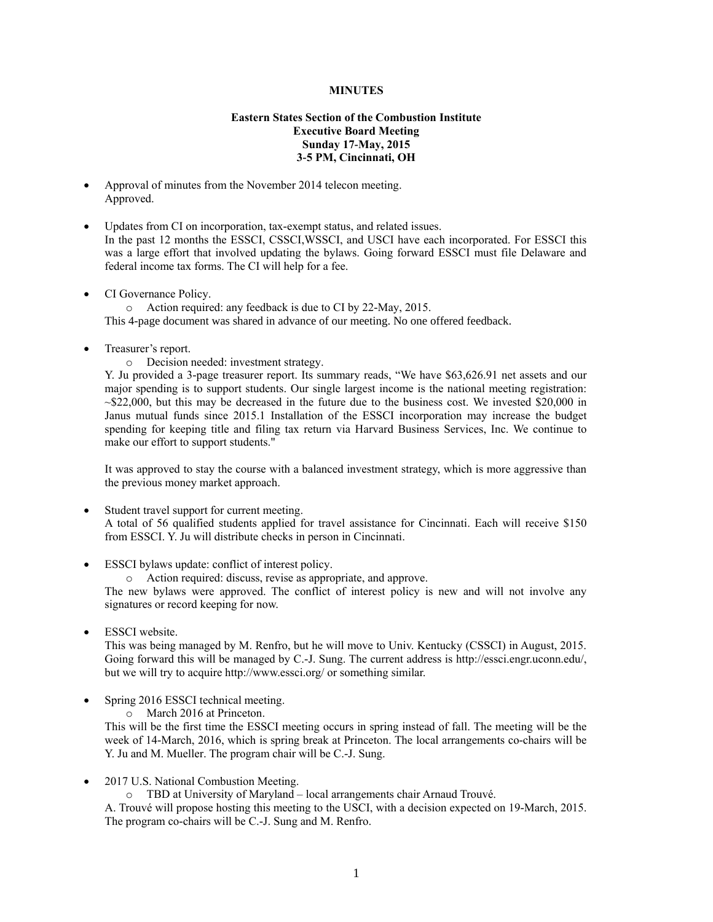## **MINUTES**

## **Eastern States Section of the Combustion Institute Executive Board Meeting Sunday 17-May, 2015 3-5 PM, Cincinnati, OH**

- Approval of minutes from the November 2014 telecon meeting. Approved.
- Updates from CI on incorporation, tax-exempt status, and related issues. In the past 12 months the ESSCI, CSSCI,WSSCI, and USCI have each incorporated. For ESSCI this was a large effort that involved updating the bylaws. Going forward ESSCI must file Delaware and federal income tax forms. The CI will help for a fee.
- CI Governance Policy.

o Action required: any feedback is due to CI by 22-May, 2015.

This 4-page document was shared in advance of our meeting. No one offered feedback.

Treasurer's report.

o Decision needed: investment strategy.

Y. Ju provided a 3-page treasurer report. Its summary reads, "We have \$63,626.91 net assets and our major spending is to support students. Our single largest income is the national meeting registration:  $\sim$ \$22,000, but this may be decreased in the future due to the business cost. We invested \$20,000 in Janus mutual funds since 2015.1 Installation of the ESSCI incorporation may increase the budget spending for keeping title and filing tax return via Harvard Business Services, Inc. We continue to make our effort to support students."

It was approved to stay the course with a balanced investment strategy, which is more aggressive than the previous money market approach.

- Student travel support for current meeting. A total of 56 qualified students applied for travel assistance for Cincinnati. Each will receive \$150 from ESSCI. Y. Ju will distribute checks in person in Cincinnati.
- ESSCI bylaws update: conflict of interest policy.

o Action required: discuss, revise as appropriate, and approve.

The new bylaws were approved. The conflict of interest policy is new and will not involve any signatures or record keeping for now.

ESSCI website.

This was being managed by M. Renfro, but he will move to Univ. Kentucky (CSSCI) in August, 2015. Going forward this will be managed by C.-J. Sung. The current address is http://essci.engr.uconn.edu/, but we will try to acquire http://www.essci.org/ or something similar.

- Spring 2016 ESSCI technical meeting.
	- o March 2016 at Princeton.

This will be the first time the ESSCI meeting occurs in spring instead of fall. The meeting will be the week of 14-March, 2016, which is spring break at Princeton. The local arrangements co-chairs will be Y. Ju and M. Mueller. The program chair will be C.-J. Sung.

- 2017 U.S. National Combustion Meeting.
	- o TBD at University of Maryland local arrangements chair Arnaud Trouvé.

A. Trouvé will propose hosting this meeting to the USCI, with a decision expected on 19-March, 2015. The program co-chairs will be C.-J. Sung and M. Renfro.